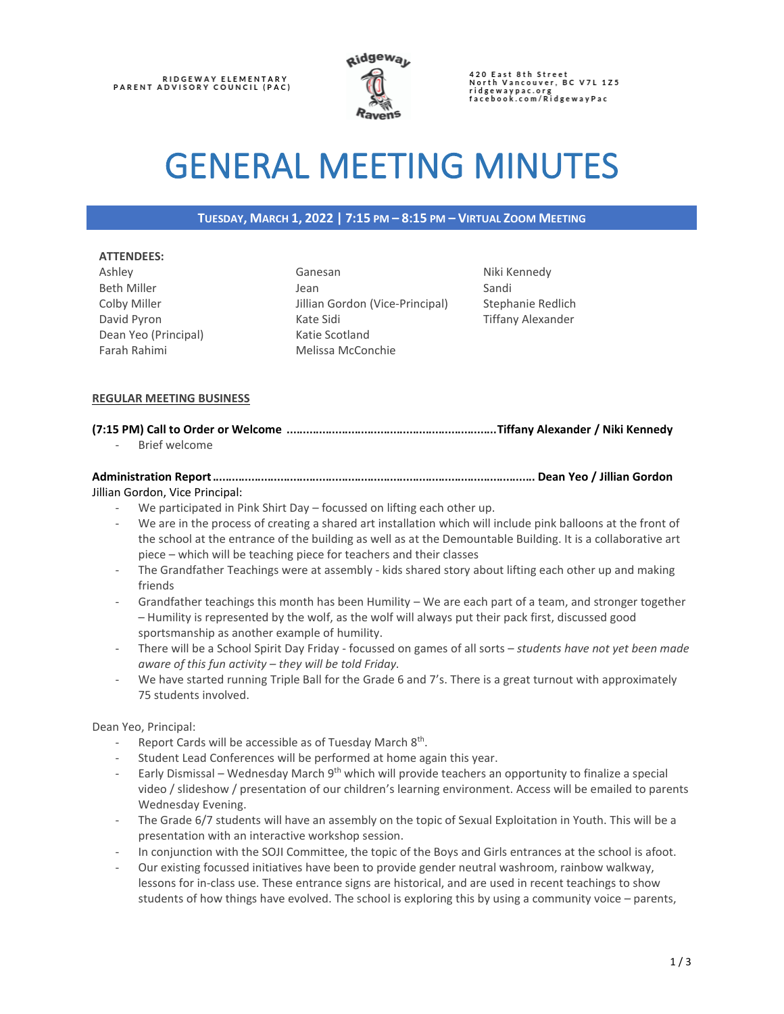RIDGEWAY ELEMENTARY<br>PARENT ADVISORY COUNCIL (PAC)



420 East 8th Street<br>North Vancouver, BC V7L 1Z5 ridgewaypac.org<br>facebook.com/RidgewayPac

# GENERAL MEETING MINUTES

#### **TUESDAY, MARCH 1, 2022 | 7:15 PM – 8:15 PM – VIRTUAL ZOOM MEETING**

#### **ATTENDEES:**

Ashley Beth Miller Colby Miller David Pyron Dean Yeo (Principal) Farah Rahimi

Ganesan Jean Jillian Gordon (Vice-Principal) Kate Sidi Katie Scotland Melissa McConchie

Niki Kennedy Sandi Stephanie Redlich Tiffany Alexander

#### **REGULAR MEETING BUSINESS**

#### **(7:15 PM) Call to Order or Welcome** .................................................................**Tiffany Alexander / Niki Kennedy**

Brief welcome

# **Administration Report**.................................................................................................... **Dean Yeo / Jillian Gordon**

#### Jillian Gordon, Vice Principal:

- We participated in Pink Shirt Day focussed on lifting each other up.
- We are in the process of creating a shared art installation which will include pink balloons at the front of the school at the entrance of the building as well as at the Demountable Building. It is a collaborative art piece – which will be teaching piece for teachers and their classes
- The Grandfather Teachings were at assembly kids shared story about lifting each other up and making friends
- Grandfather teachings this month has been Humility We are each part of a team, and stronger together – Humility is represented by the wolf, as the wolf will always put their pack first, discussed good sportsmanship as another example of humility.
- There will be a School Spirit Day Friday focussed on games of all sorts *students have not yet been made aware of this fun activity – they will be told Friday.*
- We have started running Triple Ball for the Grade 6 and 7's. There is a great turnout with approximately 75 students involved.

Dean Yeo, Principal:

- Report Cards will be accessible as of Tuesday March 8<sup>th</sup>.
- Student Lead Conferences will be performed at home again this year.
- Early Dismissal Wednesday March 9<sup>th</sup> which will provide teachers an opportunity to finalize a special video / slideshow / presentation of our children's learning environment. Access will be emailed to parents Wednesday Evening.
- The Grade 6/7 students will have an assembly on the topic of Sexual Exploitation in Youth. This will be a presentation with an interactive workshop session.
- In conjunction with the SOJI Committee, the topic of the Boys and Girls entrances at the school is afoot.
- Our existing focussed initiatives have been to provide gender neutral washroom, rainbow walkway, lessons for in-class use. These entrance signs are historical, and are used in recent teachings to show students of how things have evolved. The school is exploring this by using a community voice – parents,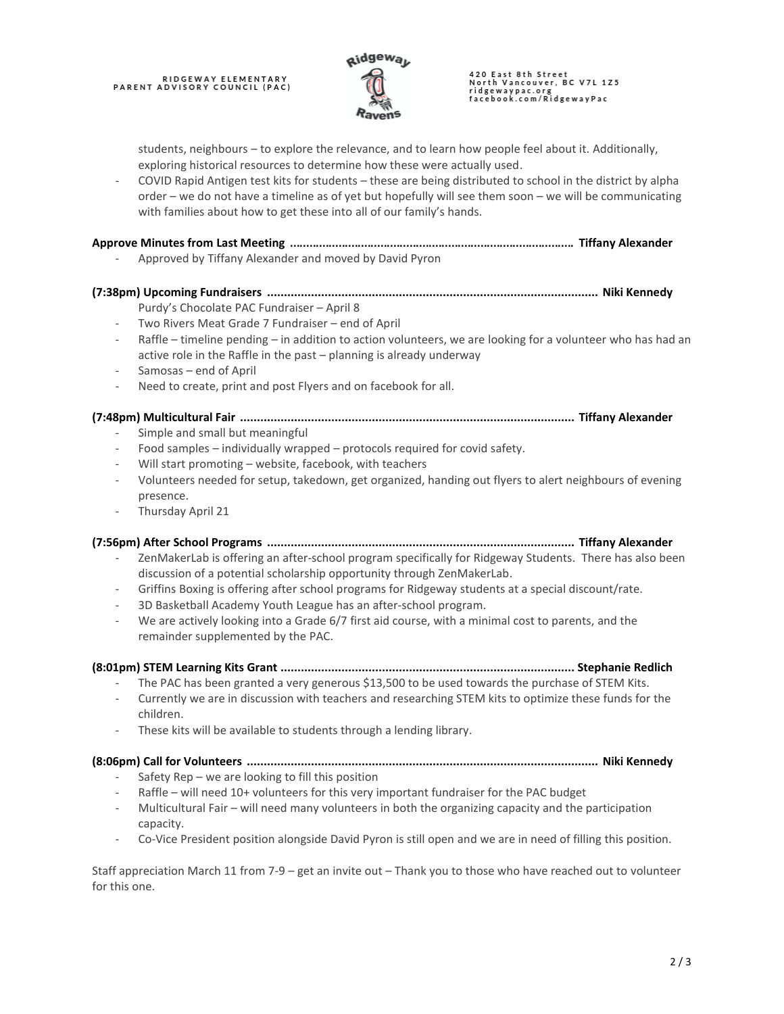## RIDGEWAY ELEMENTARY<br>PARENT ADVISORY COUNCIL (PAC)



# 420 East 8th Street<br>North Vancouver, BC V7L 1Z5 ridgewaypac.org<br>facebook.com/RidgewayPac

students, neighbours – to explore the relevance, and to learn how people feel about it. Additionally, exploring historical resources to determine how these were actually used.

- COVID Rapid Antigen test kits for students – these are being distributed to school in the district by alpha order – we do not have a timeline as of yet but hopefully will see them soon – we will be communicating with families about how to get these into all of our family's hands.

#### **Approve Minutes from Last Meeting** ........................................................................................ **Tiffany Alexander**

- Approved by Tiffany Alexander and moved by David Pyron

#### **(7:38pm) Upcoming Fundraisers .................................................................................................. Niki Kennedy**

- Purdy's Chocolate PAC Fundraiser April 8
- Two Rivers Meat Grade 7 Fundraiser end of April
- Raffle timeline pending in addition to action volunteers, we are looking for a volunteer who has had an active role in the Raffle in the past – planning is already underway
- Samosas end of April
- Need to create, print and post Flyers and on facebook for all.

#### **(7:48pm) Multicultural Fair ................................................................................................... Tiffany Alexander**

- Simple and small but meaningful
- Food samples individually wrapped protocols required for covid safety.
- Will start promoting website, facebook, with teachers
- Volunteers needed for setup, takedown, get organized, handing out flyers to alert neighbours of evening presence.
- Thursday April 21

#### **(7:56pm) After School Programs ........................................................................................... Tiffany Alexander**

- ZenMakerLab is offering an after-school program specifically for Ridgeway Students. There has also been discussion of a potential scholarship opportunity through ZenMakerLab.
- Griffins Boxing is offering after school programs for Ridgeway students at a special discount/rate.
- 3D Basketball Academy Youth League has an after-school program.
- We are actively looking into a Grade 6/7 first aid course, with a minimal cost to parents, and the remainder supplemented by the PAC.

#### **(8:01pm) STEM Learning Kits Grant ....................................................................................... Stephanie Redlich**

- The PAC has been granted a very generous \$13,500 to be used towards the purchase of STEM Kits.
- Currently we are in discussion with teachers and researching STEM kits to optimize these funds for the children.
- These kits will be available to students through a lending library.

#### **(8:06pm) Call for Volunteers ........................................................................................................ Niki Kennedy**

- Safety Rep we are looking to fill this position
- Raffle will need 10+ volunteers for this very important fundraiser for the PAC budget
- Multicultural Fair will need many volunteers in both the organizing capacity and the participation capacity.
- Co-Vice President position alongside David Pyron is still open and we are in need of filling this position.

Staff appreciation March 11 from 7-9 – get an invite out – Thank you to those who have reached out to volunteer for this one.